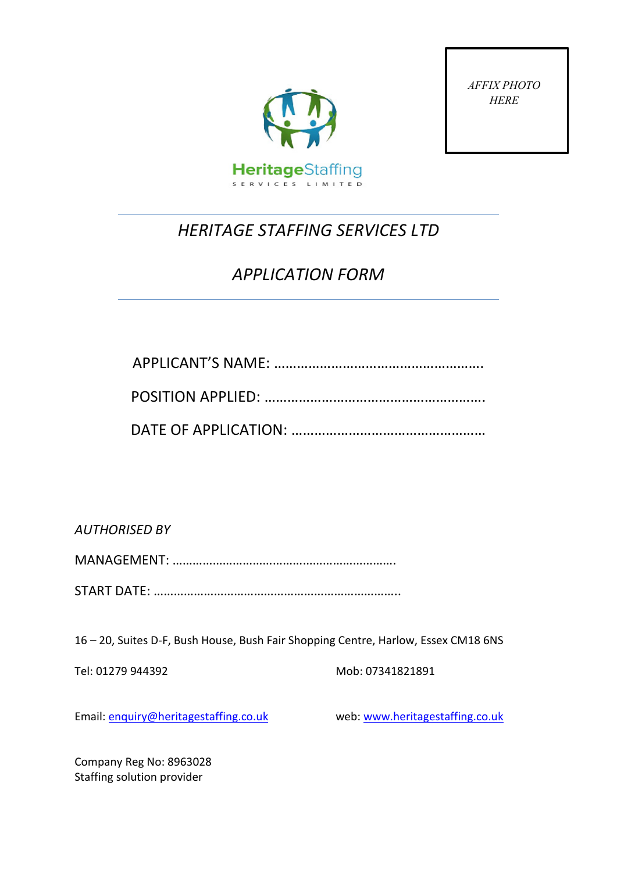

*AFFIX PHOTO HERE*

# *HERITAGE STAFFING SERVICES LTD*

# *APPLICATION FORM*

*AUTHORISED BY* 

MANAGEMENT: ………………………………………………………….

START DATE: ………………………………………………………………..

16 – 20, Suites D-F, Bush House, Bush Fair Shopping Centre, Harlow, Essex CM18 6NS

Tel: 01279 944392 Mob: 07341821891

Email: [enquiry@heritagestaffing.co.uk](mailto:enquiry@heritagestaffing.co.uk) web: [www.heritagestaffing.co.uk](http://www.heritagestaffing.co.uk/)

Company Reg No: 8963028 Staffing solution provider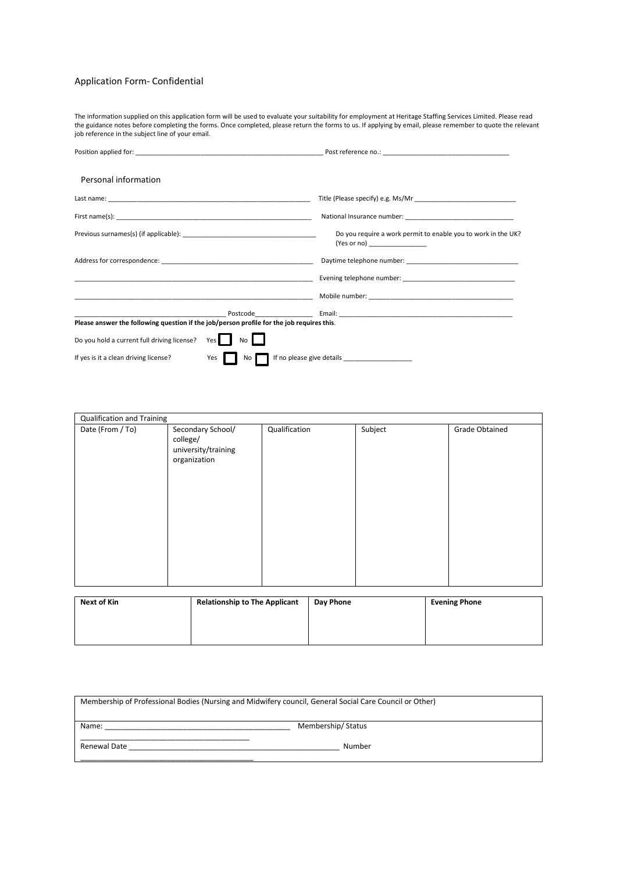#### Application Form- Confidential

The information supplied on this application form will be used to evaluate your suitability for employment at Heritage Staffing Services Limited. Please read the guidance notes before completing the forms. Once completed, please return the forms to us. If applying by email, please remember to quote the relevant job reference in the subject line of your email.

| Personal information                                                                      |                                                                                                                                                                                                                                      |
|-------------------------------------------------------------------------------------------|--------------------------------------------------------------------------------------------------------------------------------------------------------------------------------------------------------------------------------------|
|                                                                                           |                                                                                                                                                                                                                                      |
|                                                                                           |                                                                                                                                                                                                                                      |
|                                                                                           | Do you require a work permit to enable you to work in the UK?<br>(Yes or no) __________________                                                                                                                                      |
|                                                                                           |                                                                                                                                                                                                                                      |
|                                                                                           |                                                                                                                                                                                                                                      |
|                                                                                           | Mobile number: National According to the Contract of Contract of Mobile number: National According to the Contract of Contract of Contract of Contract of Contract of Contract of Contract of Contract of Contract of Contract       |
| Please answer the following question if the job/person profile for the job requires this. | <u>protocological control of the protocological control of the control of the control of the control of the control of the control of the control of the control of the control of the control of the control of the control of </u> |
| Do you hold a current full driving license? Yes<br>No                                     |                                                                                                                                                                                                                                      |
| Yes  <br>If yes is it a clean driving license?                                            | No If no please give details ___________________                                                                                                                                                                                     |

| Qualification and Training |                                                                      |               |         |                       |  |  |
|----------------------------|----------------------------------------------------------------------|---------------|---------|-----------------------|--|--|
| Date (From / To)           | Secondary School/<br>college/<br>university/training<br>organization | Qualification | Subject | <b>Grade Obtained</b> |  |  |

| Next of Kin | <b>Relationship to The Applicant</b> | Day Phone | <b>Evening Phone</b> |
|-------------|--------------------------------------|-----------|----------------------|
|             |                                      |           |                      |
|             |                                      |           |                      |
|             |                                      |           |                      |

| Membership of Professional Bodies (Nursing and Midwifery council, General Social Care Council or Other) |                   |  |  |  |
|---------------------------------------------------------------------------------------------------------|-------------------|--|--|--|
| Name:                                                                                                   | Membership/Status |  |  |  |
| Renewal Date                                                                                            | Number            |  |  |  |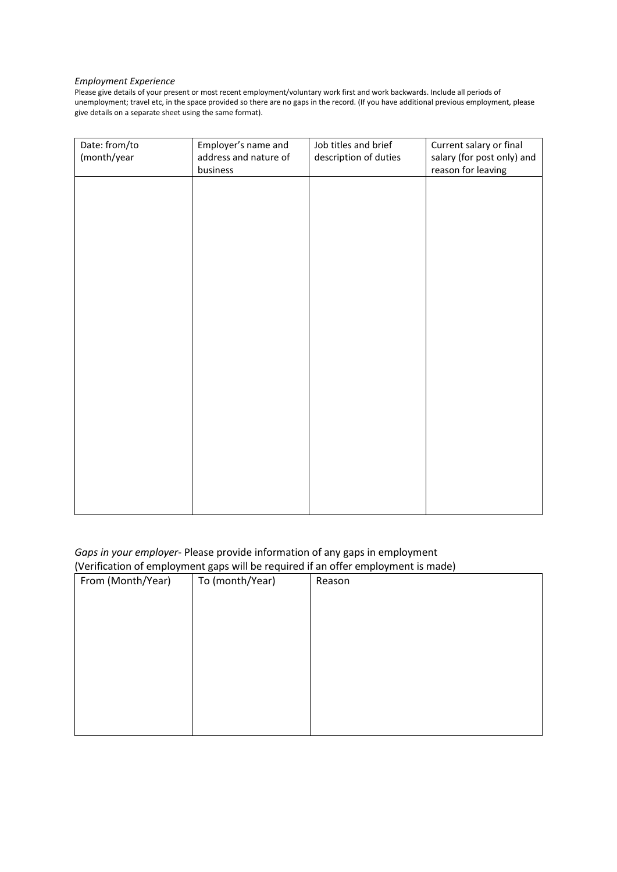#### *Employment Experience*

Please give details of your present or most recent employment/voluntary work first and work backwards. Include all periods of unemployment; travel etc, in the space provided so there are no gaps in the record. (If you have additional previous employment, please give details on a separate sheet using the same format).

| Date: from/to<br>(month/year | Employer's name and<br>address and nature of | Job titles and brief<br>description of duties | Current salary or final<br>salary (for post only) and |
|------------------------------|----------------------------------------------|-----------------------------------------------|-------------------------------------------------------|
|                              | business                                     |                                               | reason for leaving                                    |
|                              |                                              |                                               |                                                       |
|                              |                                              |                                               |                                                       |
|                              |                                              |                                               |                                                       |
|                              |                                              |                                               |                                                       |
|                              |                                              |                                               |                                                       |
|                              |                                              |                                               |                                                       |
|                              |                                              |                                               |                                                       |
|                              |                                              |                                               |                                                       |
|                              |                                              |                                               |                                                       |
|                              |                                              |                                               |                                                       |
|                              |                                              |                                               |                                                       |
|                              |                                              |                                               |                                                       |
|                              |                                              |                                               |                                                       |
|                              |                                              |                                               |                                                       |
|                              |                                              |                                               |                                                       |
|                              |                                              |                                               |                                                       |
|                              |                                              |                                               |                                                       |
|                              |                                              |                                               |                                                       |
|                              |                                              |                                               |                                                       |
|                              |                                              |                                               |                                                       |
|                              |                                              |                                               |                                                       |
|                              |                                              |                                               |                                                       |
|                              |                                              |                                               |                                                       |

### *Gaps in your employer*- Please provide information of any gaps in employment (Verification of employment gaps will be required if an offer employment is made)

| $\cdot$ $\cdot$<br>From (Month/Year) | $\sim$ $\sim$<br>. .<br>To (month/Year) | . .<br>Reason |
|--------------------------------------|-----------------------------------------|---------------|
|                                      |                                         |               |
|                                      |                                         |               |
|                                      |                                         |               |
|                                      |                                         |               |
|                                      |                                         |               |
|                                      |                                         |               |
|                                      |                                         |               |
|                                      |                                         |               |
|                                      |                                         |               |
|                                      |                                         |               |
|                                      |                                         |               |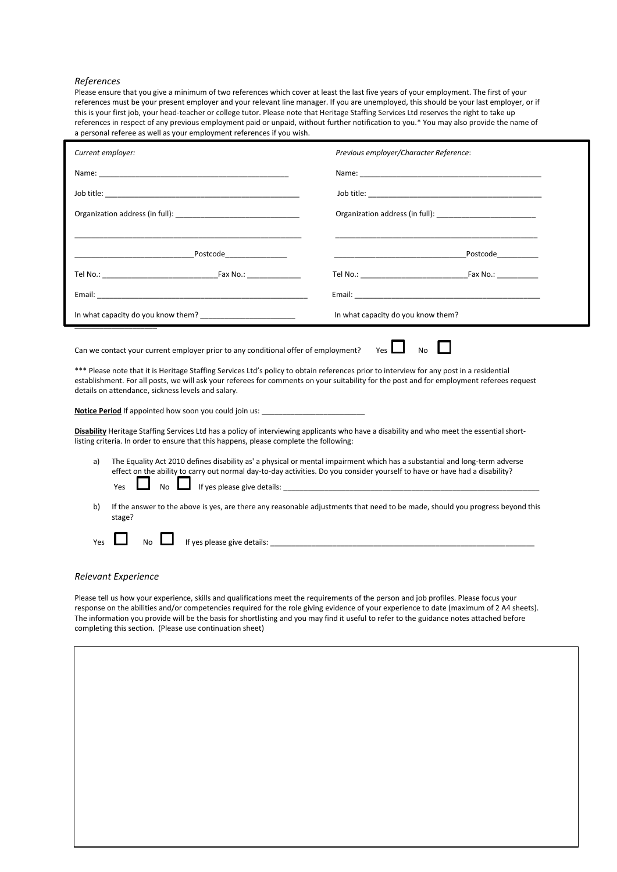#### *References*

Please ensure that you give a minimum of two references which cover at least the last five years of your employment. The first of your references must be your present employer and your relevant line manager. If you are unemployed, this should be your last employer, or if this is your first job, your head-teacher or college tutor. Please note that Heritage Staffing Services Ltd reserves the right to take up references in respect of any previous employment paid or unpaid, without further notification to you.\* You may also provide the name of a personal referee as well as your employment references if you wish.

| Current employer:                                                                                                                                                                                                                                                                                                                                                                                                                                       | Previous employer/Character Reference:                                                               |  |  |  |  |
|---------------------------------------------------------------------------------------------------------------------------------------------------------------------------------------------------------------------------------------------------------------------------------------------------------------------------------------------------------------------------------------------------------------------------------------------------------|------------------------------------------------------------------------------------------------------|--|--|--|--|
|                                                                                                                                                                                                                                                                                                                                                                                                                                                         |                                                                                                      |  |  |  |  |
|                                                                                                                                                                                                                                                                                                                                                                                                                                                         |                                                                                                      |  |  |  |  |
|                                                                                                                                                                                                                                                                                                                                                                                                                                                         | Organization address (in full): 2008 2012 2023 2024 2022 2023 2024 2022 2023 2024 2022 2023 2024 202 |  |  |  |  |
|                                                                                                                                                                                                                                                                                                                                                                                                                                                         |                                                                                                      |  |  |  |  |
| Postcode                                                                                                                                                                                                                                                                                                                                                                                                                                                | Postcode and the postcode                                                                            |  |  |  |  |
|                                                                                                                                                                                                                                                                                                                                                                                                                                                         |                                                                                                      |  |  |  |  |
|                                                                                                                                                                                                                                                                                                                                                                                                                                                         |                                                                                                      |  |  |  |  |
|                                                                                                                                                                                                                                                                                                                                                                                                                                                         | In what capacity do you know them?                                                                   |  |  |  |  |
| Yes I<br><b>No</b><br>Can we contact your current employer prior to any conditional offer of employment?<br>*** Please note that it is Heritage Staffing Services Ltd's policy to obtain references prior to interview for any post in a residential<br>establishment. For all posts, we will ask your referees for comments on your suitability for the post and for employment referees request<br>details on attendance, sickness levels and salary. |                                                                                                      |  |  |  |  |
| Notice Period If appointed how soon you could join us: _________________________                                                                                                                                                                                                                                                                                                                                                                        |                                                                                                      |  |  |  |  |

**Disability** Heritage Staffing Services Ltd has a policy of interviewing applicants who have a disability and who meet the essential shortlisting criteria. In order to ensure that this happens, please complete the following:

- a) The Equality Act 2010 defines disability as' a physical or mental impairment which has a substantial and long-term adverse effect on the ability to carry out normal day-to-day activities. Do you consider yourself to have or have had a disability?  $Yes$  No  $\Box$  If yes please give details:
- b) If the answer to the above is yes, are there any reasonable adjustments that need to be made, should you progress beyond this stage?

| ۷ρς<br>ن ب | No<br>___ | details<br>٬۱۵٬<br>nıe<br>יח שו<br>.cusc<br>. . |
|------------|-----------|-------------------------------------------------|
|            |           |                                                 |

#### *Relevant Experience*

Please tell us how your experience, skills and qualifications meet the requirements of the person and job profiles. Please focus your response on the abilities and/or competencies required for the role giving evidence of your experience to date (maximum of 2 A4 sheets). The information you provide will be the basis for shortlisting and you may find it useful to refer to the guidance notes attached before completing this section. (Please use continuation sheet)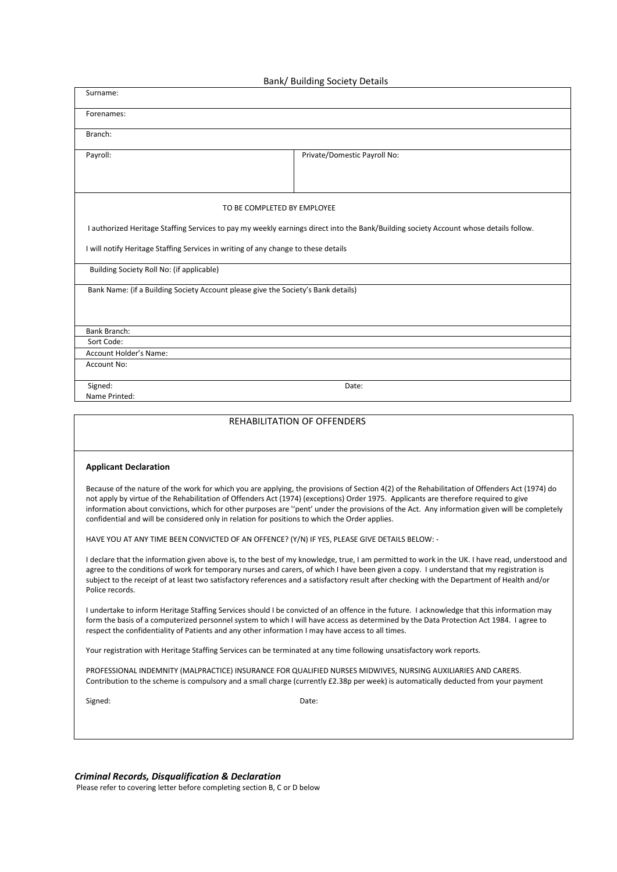| Bank/ Building Society Details                                                                                                                                                                                                                                                                                                                                                                                                                                                                                                          |
|-----------------------------------------------------------------------------------------------------------------------------------------------------------------------------------------------------------------------------------------------------------------------------------------------------------------------------------------------------------------------------------------------------------------------------------------------------------------------------------------------------------------------------------------|
| Surname:                                                                                                                                                                                                                                                                                                                                                                                                                                                                                                                                |
| Forenames:                                                                                                                                                                                                                                                                                                                                                                                                                                                                                                                              |
| Branch:                                                                                                                                                                                                                                                                                                                                                                                                                                                                                                                                 |
| Payroll:<br>Private/Domestic Payroll No:                                                                                                                                                                                                                                                                                                                                                                                                                                                                                                |
|                                                                                                                                                                                                                                                                                                                                                                                                                                                                                                                                         |
| TO BE COMPLETED BY EMPLOYEE                                                                                                                                                                                                                                                                                                                                                                                                                                                                                                             |
| I authorized Heritage Staffing Services to pay my weekly earnings direct into the Bank/Building society Account whose details follow.                                                                                                                                                                                                                                                                                                                                                                                                   |
| I will notify Heritage Staffing Services in writing of any change to these details                                                                                                                                                                                                                                                                                                                                                                                                                                                      |
| Building Society Roll No: (if applicable)                                                                                                                                                                                                                                                                                                                                                                                                                                                                                               |
| Bank Name: (if a Building Society Account please give the Society's Bank details)                                                                                                                                                                                                                                                                                                                                                                                                                                                       |
|                                                                                                                                                                                                                                                                                                                                                                                                                                                                                                                                         |
| Bank Branch:                                                                                                                                                                                                                                                                                                                                                                                                                                                                                                                            |
| Sort Code:                                                                                                                                                                                                                                                                                                                                                                                                                                                                                                                              |
| Account Holder's Name:<br><b>Account No:</b>                                                                                                                                                                                                                                                                                                                                                                                                                                                                                            |
| Signed:<br>Date:                                                                                                                                                                                                                                                                                                                                                                                                                                                                                                                        |
| Name Printed:                                                                                                                                                                                                                                                                                                                                                                                                                                                                                                                           |
| REHABILITATION OF OFFENDERS                                                                                                                                                                                                                                                                                                                                                                                                                                                                                                             |
|                                                                                                                                                                                                                                                                                                                                                                                                                                                                                                                                         |
| <b>Applicant Declaration</b>                                                                                                                                                                                                                                                                                                                                                                                                                                                                                                            |
| Because of the nature of the work for which you are applying, the provisions of Section 4(2) of the Rehabilitation of Offenders Act (1974) do<br>not apply by virtue of the Rehabilitation of Offenders Act (1974) (exceptions) Order 1975. Applicants are therefore required to give<br>information about convictions, which for other purposes are "pent' under the provisions of the Act. Any information given will be completely<br>confidential and will be considered only in relation for positions to which the Order applies. |
| HAVE YOU AT ANY TIME BEEN CONVICTED OF AN OFFENCE? (Y/N) IF YES, PLEASE GIVE DETAILS BELOW: -                                                                                                                                                                                                                                                                                                                                                                                                                                           |
| I declare that the information given above is, to the best of my knowledge, true, I am permitted to work in the UK. I have read, understood and<br>agree to the conditions of work for temporary nurses and carers, of which I have been given a copy. I understand that my registration is<br>subject to the receipt of at least two satisfactory references and a satisfactory result after checking with the Department of Health and/or<br>Police records.                                                                          |
| I undertake to inform Heritage Staffing Services should I be convicted of an offence in the future. I acknowledge that this information may<br>form the basis of a computerized personnel system to which I will have access as determined by the Data Protection Act 1984. I agree to<br>respect the confidentiality of Patients and any other information I may have access to all times.                                                                                                                                             |
| Your registration with Heritage Staffing Services can be terminated at any time following unsatisfactory work reports.                                                                                                                                                                                                                                                                                                                                                                                                                  |
| PROFESSIONAL INDEMNITY (MALPRACTICE) INSURANCE FOR QUALIFIED NURSES MIDWIVES, NURSING AUXILIARIES AND CARERS.<br>Contribution to the scheme is compulsory and a small charge (currently £2.38p per week) is automatically deducted from your payment                                                                                                                                                                                                                                                                                    |
| Signed:<br>Date:                                                                                                                                                                                                                                                                                                                                                                                                                                                                                                                        |
|                                                                                                                                                                                                                                                                                                                                                                                                                                                                                                                                         |
|                                                                                                                                                                                                                                                                                                                                                                                                                                                                                                                                         |

*Criminal Records, Disqualification & Declaration*

Please refer to covering letter before completing section B, C or D below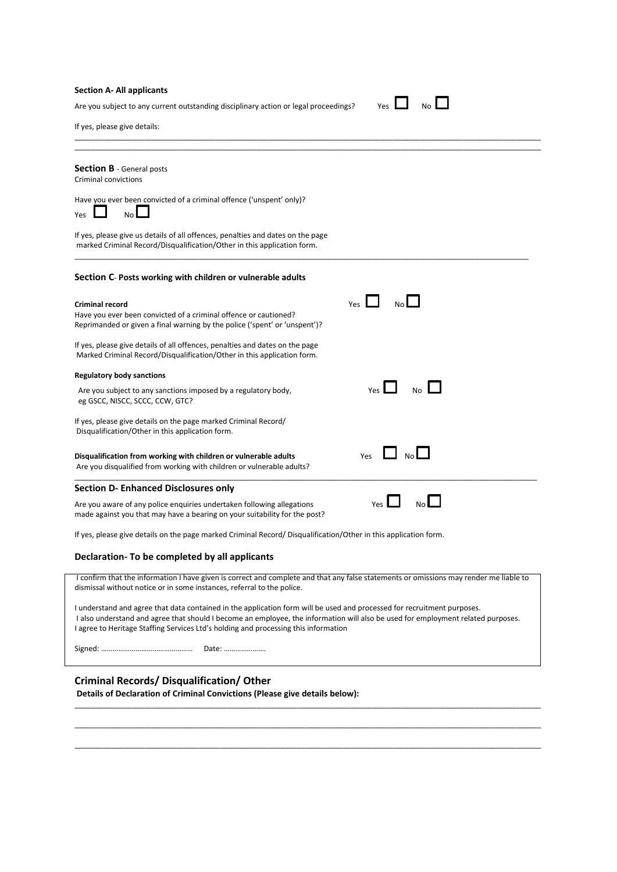#### **Section A- All applicants**

Are you subject to any current outstanding disciplinary action or legal proceedings? Yes

|  | N۸ |  |
|--|----|--|

If yes, please give details:

| <b>Section B</b> - General posts<br><b>Criminal convictions</b>                                                                                                          |                       |
|--------------------------------------------------------------------------------------------------------------------------------------------------------------------------|-----------------------|
| Have you ever been convicted of a criminal offence ('unspent' only)?<br>No<br><b>Yes</b>                                                                                 |                       |
| If yes, please give us details of all offences, penalties and dates on the page<br>marked Criminal Record/Disqualification/Other in this application form.               |                       |
| Section C- Posts working with children or vulnerable adults                                                                                                              |                       |
| <b>Criminal record</b><br>Have you ever been convicted of a criminal offence or cautioned?<br>Reprimanded or given a final warning by the police ('spent' or 'unspent')? | Yes                   |
| If yes, please give details of all offences, penalties and dates on the page<br>Marked Criminal Record/Disqualification/Other in this application form.                  |                       |
| <b>Regulatory body sanctions</b>                                                                                                                                         |                       |
| Are you subject to any sanctions imposed by a regulatory body,<br>eg GSCC, NISCC, SCCC, CCW, GTC?                                                                        | No<br>Yes             |
| If yes, please give details on the page marked Criminal Record/<br>Disqualification/Other in this application form.                                                      |                       |
| Disqualification from working with children or vulnerable adults<br>Are you disqualified from working with children or vulnerable adults?                                | Yes                   |
| <b>Section D- Enhanced Disclosures only</b>                                                                                                                              |                       |
| Are you aware of any police enquiries undertaken following allegations<br>made against you that may have a bearing on your suitability for the post?                     | N <sub>0</sub><br>Yes |
| If yes, please give details on the page marked Criminal Record/Disqualification/Other in this application form.                                                          |                       |
| Declaration- To be completed by all applicants                                                                                                                           |                       |
| I confirm that the information I have given is correct and complete and that any false statements or omissions may render me liable to                                   |                       |

\_\_\_\_\_\_\_\_\_\_\_\_\_\_\_\_\_\_\_\_\_\_\_\_\_\_\_\_\_\_\_\_\_\_\_\_\_\_\_\_\_\_\_\_\_\_\_\_\_\_\_\_\_\_\_\_\_\_\_\_\_\_\_\_\_\_\_\_\_\_\_\_\_\_\_\_\_\_\_\_\_\_\_\_\_\_\_\_\_\_\_\_\_\_\_\_\_\_\_\_\_\_\_\_\_\_\_\_\_\_\_\_\_

I understand and agree that data contained in the application form will be used and processed for recruitment purposes. I also understand and agree that should I become an employee, the information will also be used for employment related purposes. I agree to Heritage Staffing Services Ltd's holding and processing this information

\_\_\_\_\_\_\_\_\_\_\_\_\_\_\_\_\_\_\_\_\_\_\_\_\_\_\_\_\_\_\_\_\_\_\_\_\_\_\_\_\_\_\_\_\_\_\_\_\_\_\_\_\_\_\_\_\_\_\_\_\_\_\_\_\_\_\_\_\_\_\_\_\_\_\_\_\_\_\_\_\_\_\_\_\_\_\_\_\_\_\_\_\_\_\_\_\_\_\_\_\_\_\_\_\_\_\_\_\_\_\_\_\_ \_\_\_\_\_\_\_\_\_\_\_\_\_\_\_\_\_\_\_\_\_\_\_\_\_\_\_\_\_\_\_\_\_\_\_\_\_\_\_\_\_\_\_\_\_\_\_\_\_\_\_\_\_\_\_\_\_\_\_\_\_\_\_\_\_\_\_\_\_\_\_\_\_\_\_\_\_\_\_\_\_\_\_\_\_\_\_\_\_\_\_\_\_\_\_\_\_\_\_\_\_\_\_\_\_\_\_\_\_\_\_\_\_ \_\_\_\_\_\_\_\_\_\_\_\_\_\_\_\_\_\_\_\_\_\_\_\_\_\_\_\_\_\_\_\_\_\_\_\_\_\_\_\_\_\_\_\_\_\_\_\_\_\_\_\_\_\_\_\_\_\_\_\_\_\_\_\_\_\_\_\_\_\_\_\_\_\_\_\_\_\_\_\_\_\_\_\_\_\_\_\_\_\_\_\_\_\_\_\_\_\_\_\_\_\_\_\_\_\_\_\_\_\_\_\_\_

Signed: ………………………………………… Date: ………………….

dismissal without notice or in some instances, referral to the police.

### **Criminal Records/ Disqualification/ Other**

**Details of Declaration of Criminal Convictions (Please give details below):**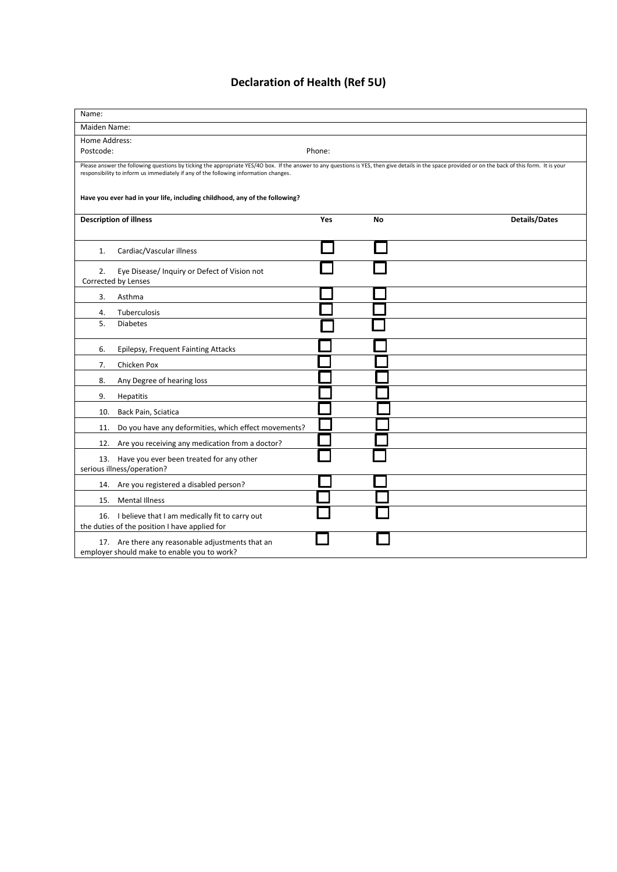# **Declaration of Health (Ref 5U)**

| Name:                                                                                                                                                                                                                                                                                                                                                                     |                                                                                                     |     |    |                      |  |  |
|---------------------------------------------------------------------------------------------------------------------------------------------------------------------------------------------------------------------------------------------------------------------------------------------------------------------------------------------------------------------------|-----------------------------------------------------------------------------------------------------|-----|----|----------------------|--|--|
| Maiden Name:                                                                                                                                                                                                                                                                                                                                                              |                                                                                                     |     |    |                      |  |  |
| Home Address:                                                                                                                                                                                                                                                                                                                                                             |                                                                                                     |     |    |                      |  |  |
|                                                                                                                                                                                                                                                                                                                                                                           | Postcode:<br>Phone:                                                                                 |     |    |                      |  |  |
| Please answer the following questions by ticking the appropriate YES/4O box. If the answer to any questions is YES, then give details in the space provided or on the back of this form. It is your<br>responsibility to inform us immediately if any of the following information changes.<br>Have you ever had in your life, including childhood, any of the following? |                                                                                                     |     |    |                      |  |  |
| <b>Description of illness</b>                                                                                                                                                                                                                                                                                                                                             |                                                                                                     | Yes | No | <b>Details/Dates</b> |  |  |
| 1.                                                                                                                                                                                                                                                                                                                                                                        | Cardiac/Vascular illness                                                                            |     |    |                      |  |  |
| 2.                                                                                                                                                                                                                                                                                                                                                                        | Eye Disease/ Inquiry or Defect of Vision not<br>Corrected by Lenses                                 |     |    |                      |  |  |
| 3.                                                                                                                                                                                                                                                                                                                                                                        | Asthma                                                                                              |     |    |                      |  |  |
| 4.                                                                                                                                                                                                                                                                                                                                                                        | Tuberculosis                                                                                        |     |    |                      |  |  |
| 5.                                                                                                                                                                                                                                                                                                                                                                        | <b>Diabetes</b>                                                                                     |     |    |                      |  |  |
| 6.                                                                                                                                                                                                                                                                                                                                                                        | Epilepsy, Frequent Fainting Attacks                                                                 |     |    |                      |  |  |
| 7.                                                                                                                                                                                                                                                                                                                                                                        | Chicken Pox                                                                                         |     |    |                      |  |  |
| 8.                                                                                                                                                                                                                                                                                                                                                                        | Any Degree of hearing loss                                                                          |     |    |                      |  |  |
| 9.                                                                                                                                                                                                                                                                                                                                                                        | Hepatitis                                                                                           |     |    |                      |  |  |
| 10.                                                                                                                                                                                                                                                                                                                                                                       | Back Pain, Sciatica                                                                                 |     |    |                      |  |  |
| 11.                                                                                                                                                                                                                                                                                                                                                                       | Do you have any deformities, which effect movements?                                                |     |    |                      |  |  |
| 12.                                                                                                                                                                                                                                                                                                                                                                       | Are you receiving any medication from a doctor?                                                     |     |    |                      |  |  |
| 13. Have you ever been treated for any other<br>serious illness/operation?                                                                                                                                                                                                                                                                                                |                                                                                                     |     |    |                      |  |  |
| 14.                                                                                                                                                                                                                                                                                                                                                                       | Are you registered a disabled person?                                                               |     |    |                      |  |  |
| 15.                                                                                                                                                                                                                                                                                                                                                                       | <b>Mental Illness</b>                                                                               |     |    |                      |  |  |
|                                                                                                                                                                                                                                                                                                                                                                           | 16. I believe that I am medically fit to carry out<br>the duties of the position I have applied for |     |    |                      |  |  |
| 17. Are there any reasonable adjustments that an<br>employer should make to enable you to work?                                                                                                                                                                                                                                                                           |                                                                                                     |     |    |                      |  |  |